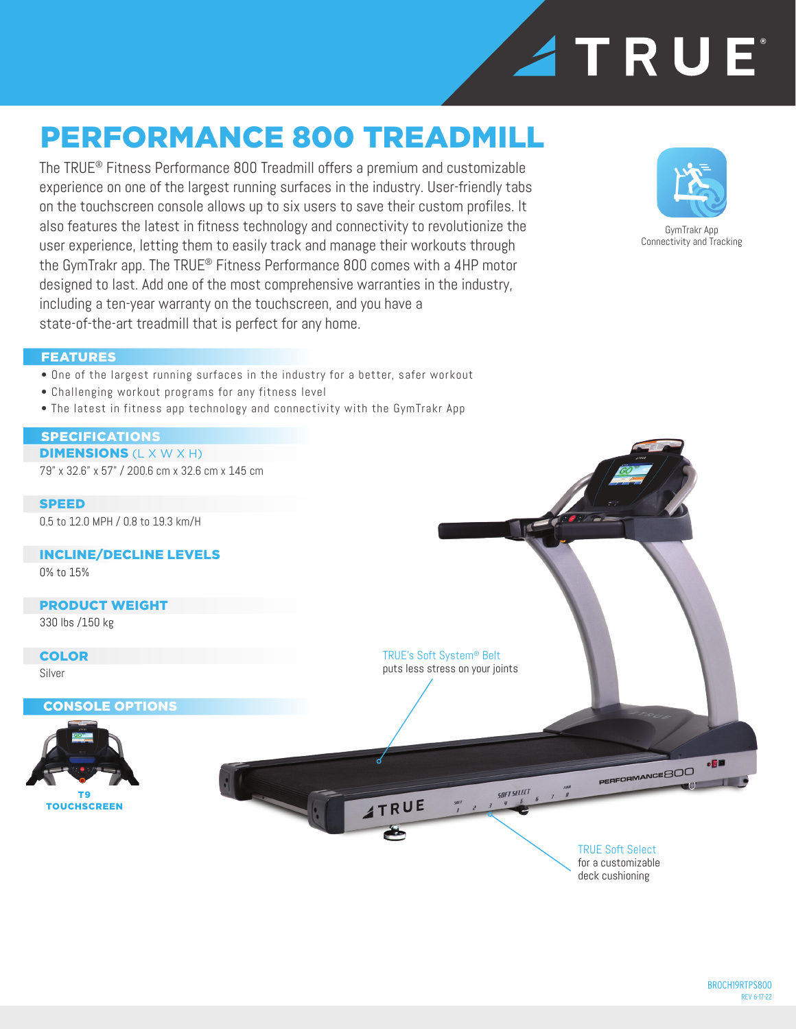

## PERFORMANCE 800 TREADMILL

The TRUE® Fitness Performance 800 Treadmill offers a premium and customizable experience on one of the largest running surfaces in the industry. User-friendly tabs on the touchscreen console allows up to six users to save their custom profiles. It also features the latest in fitness technology and connectivity to revolutionize the user experience, letting them to easily track and manage their workouts through the GymTrakr app. The TRUE® Fitness Performance 800 comes with a 4HP motor designed to last. Add one of the most comprehensive warranties in the industry, including a ten-year warranty on the touchscreen, and you have a state-of-the-art treadmill that is perfect for any home.



GymTrakr App Connectivity and Tracking

#### FEATURES

- One of the largest running surfaces in the industry for a better, safer workout
- Challenging workout programs for any fitness level
- The latest in fitness app technology and connectivity with the GymTrakr App

#### SPECIFICATIONS

**DIMENSIONS (L X W X H)** 79" x 32.6" x 57" / 200.6 cm x 32.6 cm x 145 cm

**SPEED** 0.5 to 12.0 MPH / 0.8 to 19.3 km/H

INCLINE/DECLINE LEVELS 0% to 15%

#### PRODUCT WEIGHT

330 lbs /150 kg

COLOR Silver

CONSOLE OPTIONS



TRUE's Soft System® Belt puts less stress on your joints  $-50$ PERFORMANCE 800 L **SOFT SELECT ATRUE** 

#### TRUE Soft Select for a customizable deck cushioning

BROCH19RTPS800 REV 6-17-22